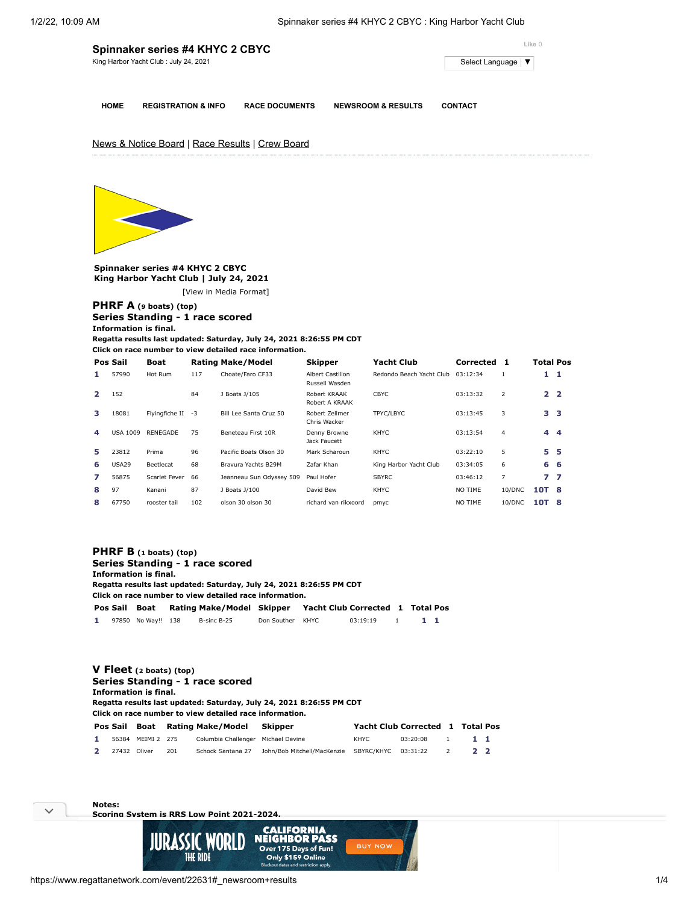| Spinnaker series #4 KHYC 2 CBYC        | Like                |
|----------------------------------------|---------------------|
| King Harbor Yacht Club : July 24, 2021 | Select Language   ▼ |
|                                        |                     |

**HOME REGISTRATION & INFO RACE DOCUMENTS NEWSROOM & RESULTS CONTACT**

**Like** 0

News & Notice Board | Race Results | Crew Board



**Spinnaker series #4 KHYC 2 CBYC King Harbor Yacht Club | July 24, 2021** [\[View in Media Format](https://www.regattanetwork.com/clubmgmt/applet_regatta_results.php?regatta_id=22631&show_manufacturer=1&show_crew=1&media_format=1)]

## **[PHRF A](https://www.regattanetwork.com/clubmgmt/applet_regatta_results.php?regatta_id=22631&show_manufacturer=1&show_crew=1&limit_fleet=PHRF+A) (9 boats) (top) Series Standing - 1 race scored**

**Information is final.**

**Regatta results last updated: Saturday, July 24, 2021 8:26:55 PM CDT**

**Click on race number to view detailed race information.**

|                | Pos Sail        | Boat            |     | <b>Rating Make/Model</b> | <b>Skipper</b>                            | <b>Yacht Club</b>        | Corrected | 1              | <b>Total Pos</b> |                |
|----------------|-----------------|-----------------|-----|--------------------------|-------------------------------------------|--------------------------|-----------|----------------|------------------|----------------|
| 1              | 57990           | Hot Rum         | 117 | Choate/Faro CF33         | <b>Albert Castillon</b><br>Russell Wasden | Redondo Beach Yacht Club | 03:12:34  | 1              | 1                | 1              |
| $\overline{2}$ | 152             |                 | 84  | J Boats J/105            | Robert KRAAK<br>Robert A KRAAK            | <b>CBYC</b>              | 03:13:32  | 2              | 2 <sub>2</sub>   |                |
| з              | 18081           | Flyingfiche II  | -3  | Bill Lee Santa Cruz 50   | Robert Zellmer<br>Chris Wacker            | TPYC/LBYC                | 03:13:45  | 3              | 3 <sub>3</sub>   |                |
| 4              | <b>USA 1009</b> | <b>RENEGADE</b> | 75  | Beneteau First 10R       | Denny Browne<br>Jack Faucett              | <b>KHYC</b>              | 03:13:54  | $\overline{4}$ | 4                | $\overline{a}$ |
| 5.             | 23812           | Prima           | 96  | Pacific Boats Olson 30   | Mark Scharoun                             | <b>KHYC</b>              | 03:22:10  | 5              | 5.               | -5             |
| 6              | <b>USA29</b>    | Beetlecat       | 68  | Bravura Yachts B29M      | Zafar Khan                                | King Harbor Yacht Club   | 03:34:05  | 6              | 6 6              |                |
| 7              | 56875           | Scarlet Fever   | 66  | Jeanneau Sun Odyssey 509 | Paul Hofer                                | <b>SBYRC</b>             | 03:46:12  | 7              | 77               |                |
| 8              | 97              | Kanani          | 87  | J Boats J/100            | David Bew                                 | <b>KHYC</b>              | NO TIME   | 10/DNC         | 10T 8            |                |
| 8              | 67750           | rooster tail    | 102 | olson 30 olson 30        | richard van rikxoord                      | pmyc                     | NO TIME   | 10/DNC         | 10T 8            |                |

## **[PHRF B](https://www.regattanetwork.com/clubmgmt/applet_regatta_results.php?regatta_id=22631&show_manufacturer=1&show_crew=1&limit_fleet=PHRF+B) (1 boats) (top) Series Standing - 1 race scored Information is final.**

|    | Regatta results last updated: Saturday, July 24, 2021 8:26:55 PM CDT |                    |  |                                         |                  |                                  |                  |  |  |
|----|----------------------------------------------------------------------|--------------------|--|-----------------------------------------|------------------|----------------------------------|------------------|--|--|
|    | Click on race number to view detailed race information.              |                    |  |                                         |                  |                                  |                  |  |  |
|    |                                                                      |                    |  | Pos Sail Boat Rating Make/Model Skipper |                  | Yacht Club Corrected 1 Total Pos |                  |  |  |
| 1. |                                                                      | 97850 No Wav!! 138 |  | B-sinc B-25                             | Don Souther KHYC |                                  | $03:19:19$ 1 1 1 |  |  |

## **[V Fleet](https://www.regattanetwork.com/clubmgmt/applet_regatta_results.php?regatta_id=22631&show_manufacturer=1&show_crew=1&limit_fleet=V+Fleet) (2 boats) (top) Series Standing - 1 race scored Information is final. Regatta results last updated: Saturday, July 24, 2021 8:26:55 PM CDT Click on race number to view detailed race information.**

|     |                       |                   |     | Pos Sail Boat Rating Make/Model    | Skipper                                         |       | Yacht Club Corrected 1 Total Pos |           |  |
|-----|-----------------------|-------------------|-----|------------------------------------|-------------------------------------------------|-------|----------------------------------|-----------|--|
| -1. |                       | 56384 MEIMI 2 275 |     | Columbia Challenger Michael Devine |                                                 | KHYC. | 03:20:08<br>$\sim$ 1             | $-1$ $-1$ |  |
|     | <b>2</b> 27432 Oliver |                   | 201 | Schock Santana 27                  | John/Bob Mitchell/MacKenzie SBYRC/KHYC 03:31:22 |       |                                  |           |  |

iction appl

**Notes: Scoring System is RRS Low Point 2021-2024.**



 $\checkmark$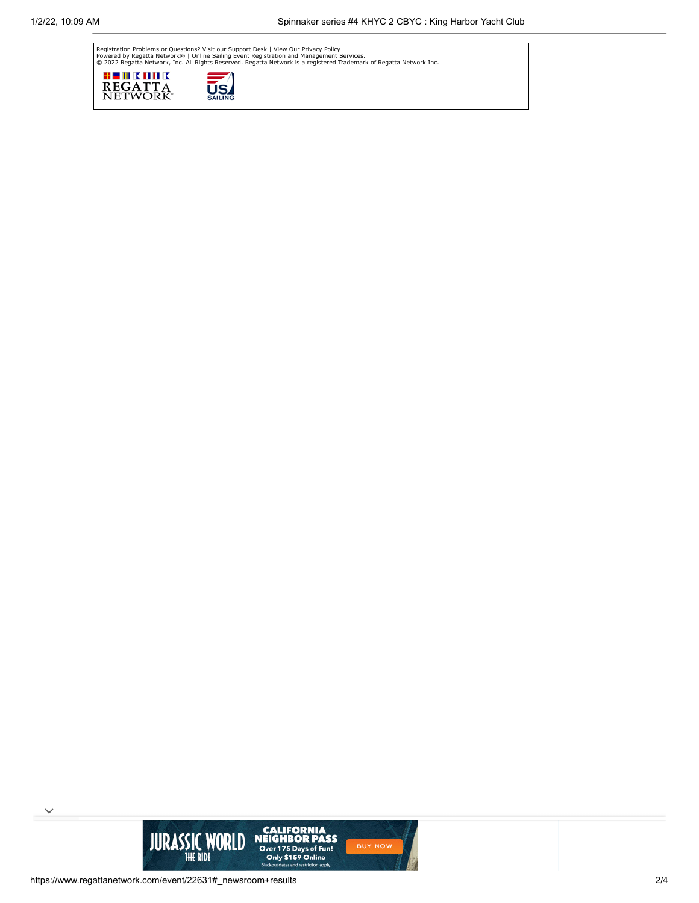Registration Problems or Questions? [Visit our Support Desk](http://support.regattanetwork.com/) | [View Our Privacy Policy](https://www.regattanetwork.com/html/privacy.html)<br>[Powered by Regatta Network®](http://www.regattanetwork.com/) | Online Sailing Event Registration and Management Services.<br>© 2022 [Regatta Network,](http://www.regattanetwork.com/) Inc. All Rights Reserved





 $\checkmark$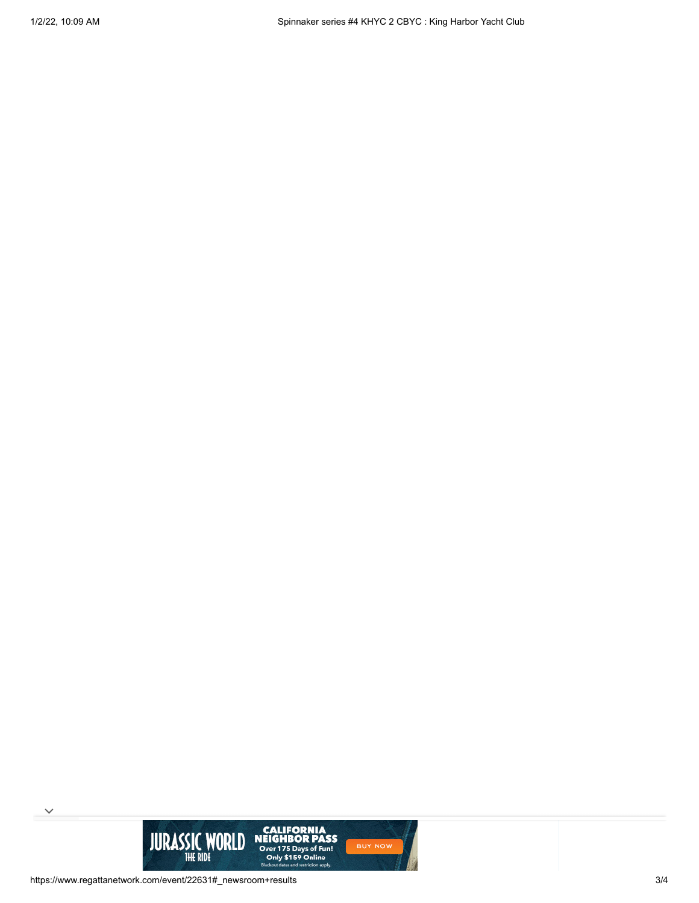

 $\checkmark$